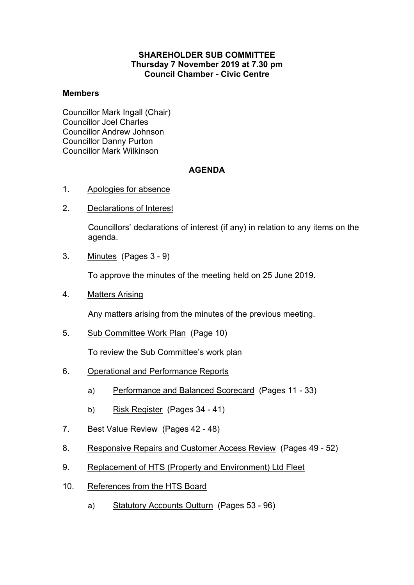### **SHAREHOLDER SUB COMMITTEE Thursday 7 November 2019 at 7.30 pm Council Chamber - Civic Centre**

#### **Members**

Councillor Mark Ingall (Chair) Councillor Joel Charles Councillor Andrew Johnson Councillor Danny Purton Councillor Mark Wilkinson

### **AGENDA**

- 1. Apologies for absence
- 2. Declarations of Interest

Councillors' declarations of interest (if any) in relation to any items on the agenda.

3. Minutes(Pages 3 - 9)

To approve the minutes of the meeting held on 25 June 2019.

4. Matters Arising

Any matters arising from the minutes of the previous meeting.

5. Sub Committee Work Plan(Page 10)

To review the Sub Committee's work plan

- 6. Operational and Performance Reports
	- a) Performance and Balanced Scorecard (Pages 11 33)
	- b) Risk Register (Pages 34 41)
- 7. Best Value Review(Pages 42 48)
- 8. Responsive Repairs and Customer Access Review(Pages 49 52)
- 9. Replacement of HTS (Property and Environment) Ltd Fleet
- 10. References from the HTS Board
	- a) Statutory Accounts Outturn (Pages 53 96)